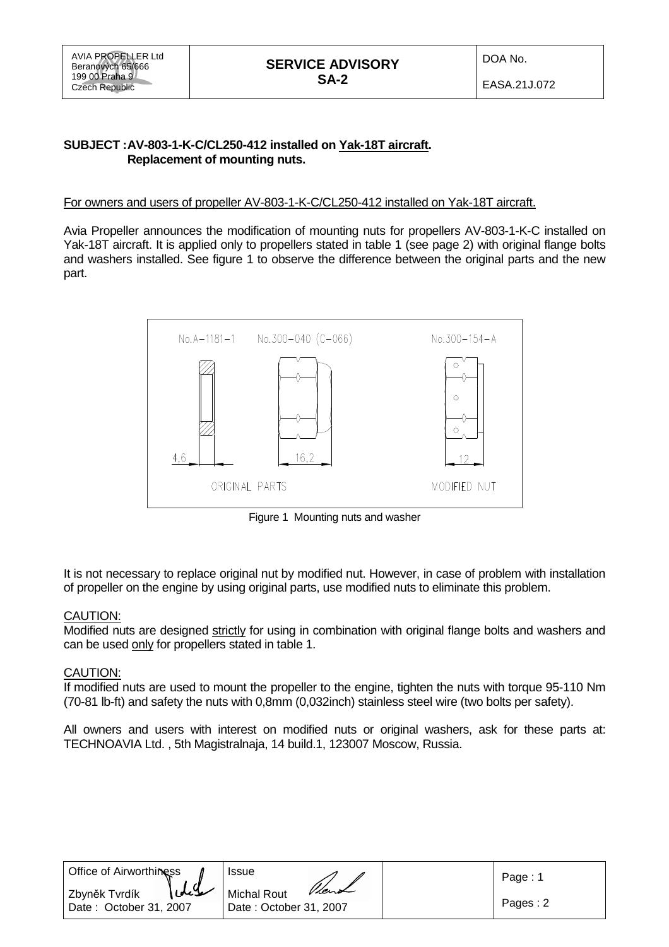## **SUBJECT : AV-803-1-K-C/CL250-412 installed on Yak-18T aircraft. Replacement of mounting nuts.**

## For owners and users of propeller AV-803-1-K-C/CL250-412 installed on Yak-18T aircraft.

Avia Propeller announces the modification of mounting nuts for propellers AV-803-1-K-C installed on Yak-18T aircraft. It is applied only to propellers stated in table 1 (see page 2) with original flange bolts and washers installed. See figure 1 to observe the difference between the original parts and the new part.



Figure 1 Mounting nuts and washer

It is not necessary to replace original nut by modified nut. However, in case of problem with installation of propeller on the engine by using original parts, use modified nuts to eliminate this problem.

## **CAUTION:**

Modified nuts are designed strictly for using in combination with original flange bolts and washers and can be used only for propellers stated in table 1.

## CAUTION:

If modified nuts are used to mount the propeller to the engine, tighten the nuts with torque 95-110 Nm (70-81 lb-ft) and safety the nuts with 0,8mm (0,032inch) stainless steel wire (two bolts per safety).

All owners and users with interest on modified nuts or original washers, ask for these parts at: TECHNOAVIA Ltd. , 5th Magistralnaja, 14 build.1, 123007 Moscow, Russia.

| Office of Airworthiness                         | <b>Issue</b>                                          | Page: 1  |
|-------------------------------------------------|-------------------------------------------------------|----------|
| idel<br>Zbyněk Tvrdík<br>Date: October 31, 2007 | Vient<br><b>Michal Rout</b><br>Date: October 31, 2007 | Pages: 2 |